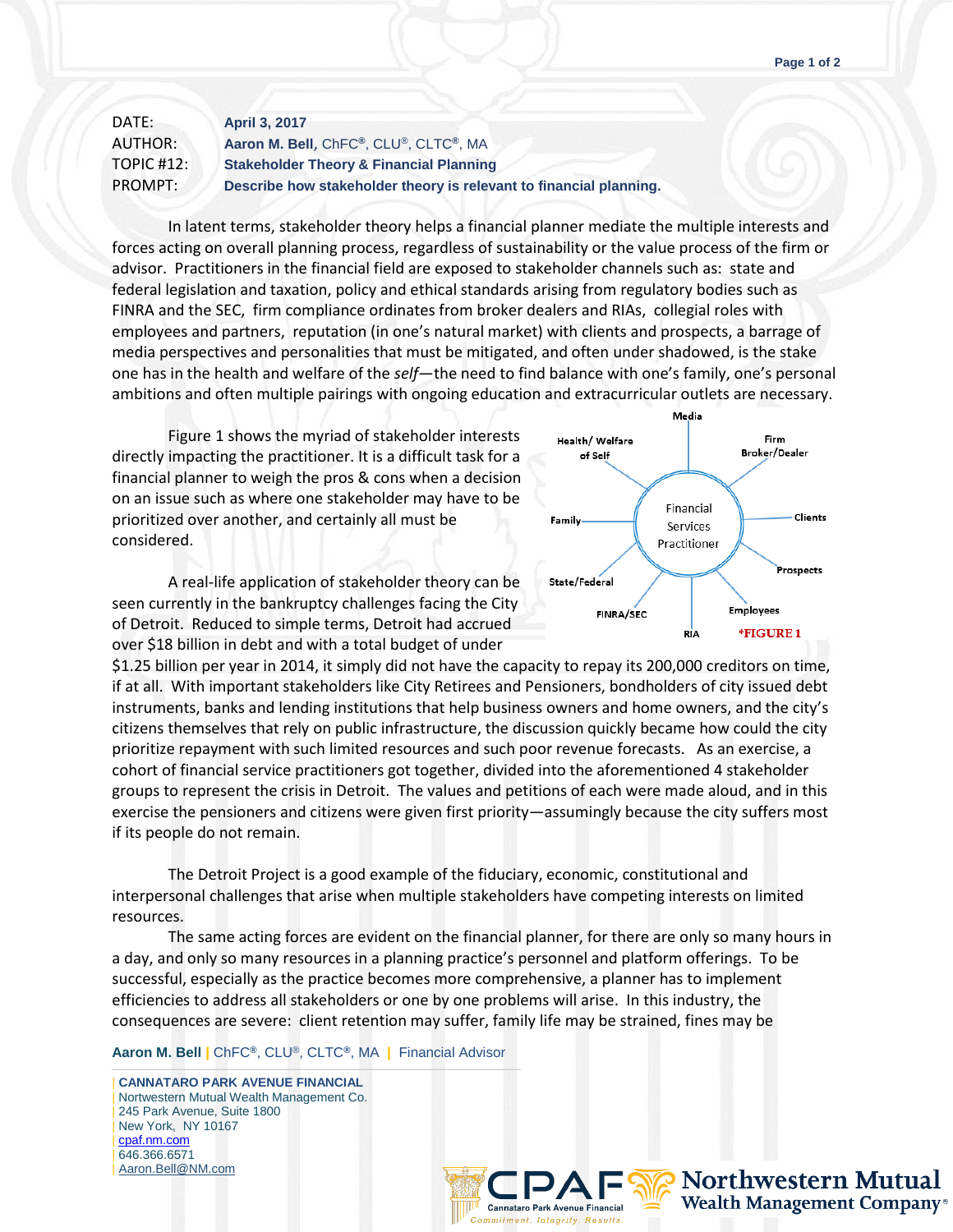| DATE:         | <b>April 3, 2017</b>                                               |
|---------------|--------------------------------------------------------------------|
| AUTHOR:       | Aaron M. Bell, ChFC®, CLU®, CLTC®, MA                              |
| TOPIC $#12$ : | <b>Stakeholder Theory &amp; Financial Planning</b>                 |
| PROMPT:       | Describe how stakeholder theory is relevant to financial planning. |

In latent terms, stakeholder theory helps a financial planner mediate the multiple interests and forces acting on overall planning process, regardless of sustainability or the value process of the firm or advisor. Practitioners in the financial field are exposed to stakeholder channels such as: state and federal legislation and taxation, policy and ethical standards arising from regulatory bodies such as FINRA and the SEC, firm compliance ordinates from broker dealers and RIAs, collegial roles with employees and partners, reputation (in one's natural market) with clients and prospects, a barrage of media perspectives and personalities that must be mitigated, and often under shadowed, is the stake one has in the health and welfare of the *self*—the need to find balance with one's family, one's personal ambitions and often multiple pairings with ongoing education and extracurricular outlets are necessary.

Figure 1 shows the myriad of stakeholder interests directly impacting the practitioner. It is a difficult task for a financial planner to weigh the pros & cons when a decision on an issue such as where one stakeholder may have to be prioritized over another, and certainly all must be considered.

A real-life application of stakeholder theory can be seen currently in the bankruptcy challenges facing the City of Detroit. Reduced to simple terms, Detroit had accrued over \$18 billion in debt and with a total budget of under



\$1.25 billion per year in 2014, it simply did not have the capacity to repay its 200,000 creditors on time, if at all. With important stakeholders like City Retirees and Pensioners, bondholders of city issued debt instruments, banks and lending institutions that help business owners and home owners, and the city's citizens themselves that rely on public infrastructure, the discussion quickly became how could the city prioritize repayment with such limited resources and such poor revenue forecasts. As an exercise, a cohort of financial service practitioners got together, divided into the aforementioned 4 stakeholder groups to represent the crisis in Detroit. The values and petitions of each were made aloud, and in this exercise the pensioners and citizens were given first priority—assumingly because the city suffers most if its people do not remain.

The Detroit Project is a good example of the fiduciary, economic, constitutional and interpersonal challenges that arise when multiple stakeholders have competing interests on limited resources.

The same acting forces are evident on the financial planner, for there are only so many hours in a day, and only so many resources in a planning practice's personnel and platform offerings. To be successful, especially as the practice becomes more comprehensive, a planner has to implement efficiencies to address all stakeholders or one by one problems will arise. In this industry, the consequences are severe: client retention may suffer, family life may be strained, fines may be

## **Aaron M. Bell |** ChFC**®**, CLU®, CLTC**®**, MA **|** Financial Advisor

——————————————————————————————————— | **CANNATARO PARK AVENUE FINANCIAL** Nortwestern Mutual Wealth Management Co. 245 Park Avenue, Suite 1800 | New York, NY 10167 | [cpaf.nm.com](http://www.cpaf.nm.com/) | 646.366.6571 | [Aaron.Bell@NM.com](mailto:Aaron.Bell@NM.com)